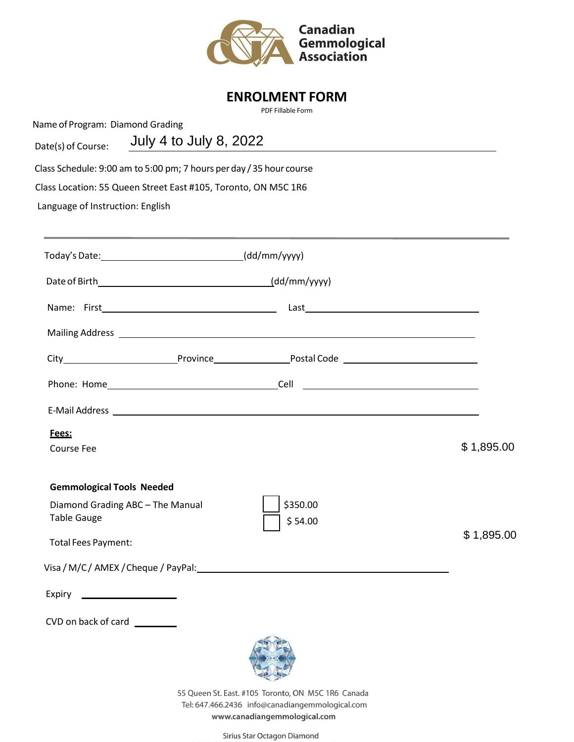

### **ENROLMENT FORM**

PDF Fillable Form

Name of Program: Diamond Grading

| July 4 to July 8, 2022<br>Date(s) of Course: |
|----------------------------------------------|
|----------------------------------------------|

Class Schedule: 9:00 am to 5:00 pm; 7 hours perday / 35 hour course

Class Location: 55 Queen Street East #105, Toronto, ON M5C 1R6

Language of Instruction: English

| Today's Date: ___________________________________(dd/mm/yyyy)                                                     |                                                                                                                |            |
|-------------------------------------------------------------------------------------------------------------------|----------------------------------------------------------------------------------------------------------------|------------|
|                                                                                                                   |                                                                                                                |            |
|                                                                                                                   |                                                                                                                |            |
|                                                                                                                   |                                                                                                                |            |
|                                                                                                                   |                                                                                                                |            |
|                                                                                                                   |                                                                                                                |            |
|                                                                                                                   |                                                                                                                |            |
| Fees:<br><b>Course Fee</b>                                                                                        |                                                                                                                | \$1,895.00 |
| <b>Gemmological Tools Needed</b><br>Diamond Grading ABC - The Manual<br><b>Table Gauge</b><br>Total Fees Payment: | \$350.00<br>\$54.00                                                                                            | \$1,895.00 |
|                                                                                                                   | Visa / M/C / AMEX / Cheque / PayPal: National American control of the Control of the Control of the Control of |            |
| CVD on back of card                                                                                               |                                                                                                                |            |
|                                                                                                                   | 55 Queen St. East. #105 Toronto, ON M5C 1R6 Canada<br>Tel: 647.466.2436 info@canadiangemmological.com          |            |

www.canadiangemmological.com

Sirius Star Octagon Diamond